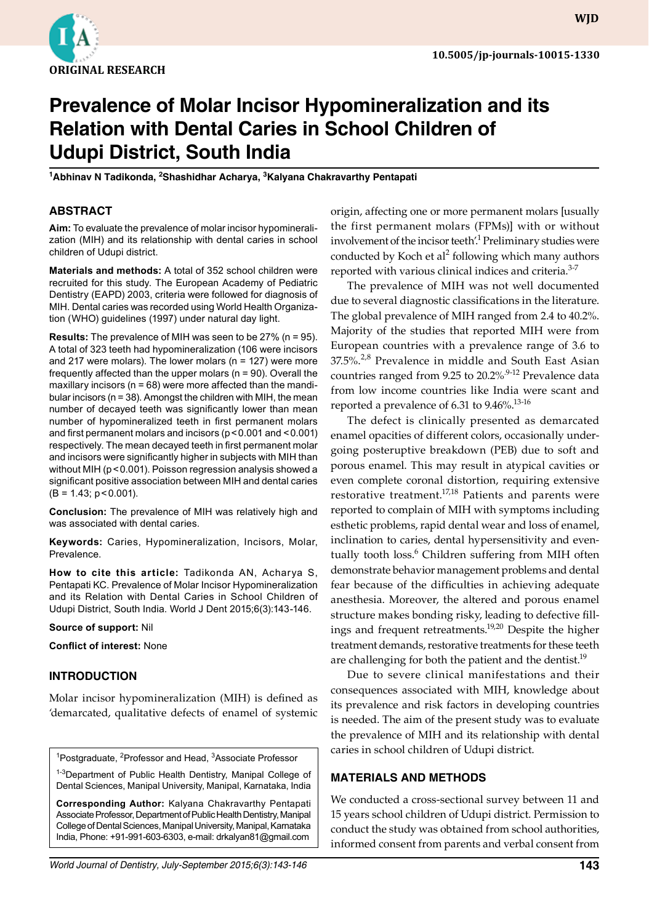

**WJD**

# **Prevalence of Molar Incisor Hypomineralization and its Relation with Dental Caries in School Children of Udupi District, South India**

<sup>1</sup>Abhinav N Tadikonda, <sup>2</sup>Shashidhar Acharya, <sup>3</sup>Kalyana Chakravarthy Pentapati

### **ABSTRACT**

**Aim:** To evaluate the prevalence of molar incisor hypomineralization (MIH) and its relationship with dental caries in school children of Udupi district.

**Materials and methods:** A total of 352 school children were recruited for this study. The European Academy of Pediatric Dentistry (EAPD) 2003, criteria were followed for diagnosis of MIH. Dental caries was recorded using World Health Organization (WHO) guidelines (1997) under natural day light.

**Results:** The prevalence of MIH was seen to be 27% (n = 95). A total of 323 teeth had hypomineralization (106 were incisors and 217 were molars). The lower molars ( $n = 127$ ) were more frequently affected than the upper molars ( $n = 90$ ). Overall the maxillary incisors ( $n = 68$ ) were more affected than the mandibular incisors (n = 38). Amongst the children with MIH, the mean number of decayed teeth was significantly lower than mean number of hypomineralized teeth in first permanent molars and first permanent molars and incisors (p<0.001 and <0.001) respectively. The mean decayed teeth in first permanent molar and incisors were significantly higher in subjects with MIH than without MIH (p < 0.001). Poisson regression analysis showed a significant positive association between MIH and dental caries  $(B = 1.43; p < 0.001)$ .

**Conclusion:** The prevalence of MIH was relatively high and was associated with dental caries.

**Keywords:** Caries, Hypomineralization, Incisors, Molar, Prevalence.

**How to cite this article:** Tadikonda AN, Acharya S, Pentapati KC. Prevalence of Molar Incisor Hypomineralization and its Relation with Dental Caries in School Children of Udupi District, South India. World J Dent 2015;6(3):143-146.

#### **Source of support:** Nil

**Conflict of interest:** None

#### **Introduction**

Molar incisor hypomineralization (MIH) is defined as 'demarcated, qualitative defects of enamel of systemic

<sup>1</sup>Postgraduate, <sup>2</sup>Professor and Head, <sup>3</sup>Associate Professor

<sup>1-3</sup>Department of Public Health Dentistry, Manipal College of Dental Sciences, Manipal University, Manipal, Karnataka, India

**Corresponding Author:** Kalyana Chakravarthy Pentapati Associate Professor, Department of public Health Dentistry, Manipal College of Dental Sciences, Manipal University, Manipal, Karnataka India, Phone: +91-991-603-6303, e-mail: drkalyan81@gmail.com

origin, affecting one or more permanent molars [usually the first permanent molars (FPMs)] with or without involvement of the incisor teeth<sup>'1</sup> Preliminary studies were conducted by Koch et al<sup>2</sup> following which many authors reported with various clinical indices and criteria.<sup>3-7</sup>

The prevalence of MIH was not well documented due to several diagnostic classifications in the literature. The global prevalence of MIH ranged from 2.4 to 40.2%. Majority of the studies that reported MIH were from European countries with a prevalence range of 3.6 to 37.5%.<sup>2,8</sup> Prevalence in middle and South East Asian countries ranged from 9.25 to 20.2%<sup>9-12</sup> Prevalence data from low income countries like India were scant and reported a prevalence of 6.31 to  $9.46\%$ <sup>13-16</sup>

The defect is clinically presented as demarcated enamel opacities of different colors, occasionally undergoing posteruptive breakdown (PEB) due to soft and porous enamel. This may result in atypical cavities or even complete coronal distortion, requiring extensive restorative treatment.<sup>17,18</sup> Patients and parents were reported to complain of MIH with symptoms including esthetic problems, rapid dental wear and loss of enamel, inclination to caries, dental hypersensitivity and eventually tooth loss.<sup>6</sup> Children suffering from MIH often demonstrate behavior management problems and dental fear because of the difficulties in achieving adequate anesthesia. Moreover, the altered and porous enamel structure makes bonding risky, leading to defective fillings and frequent retreatments.<sup>19,20</sup> Despite the higher treatment demands, restorative treatments for these teeth are challenging for both the patient and the dentist.<sup>19</sup>

Due to severe clinical manifestations and their consequences associated with MIH, knowledge about its prevalence and risk factors in developing countries is needed. The aim of the present study was to evaluate the prevalence of MIH and its relationship with dental caries in school children of Udupi district.

#### **Materials and Methods**

We conducted a cross-sectional survey between 11 and 15 years school children of Udupi district. Permission to conduct the study was obtained from school authorities, informed consent from parents and verbal consent from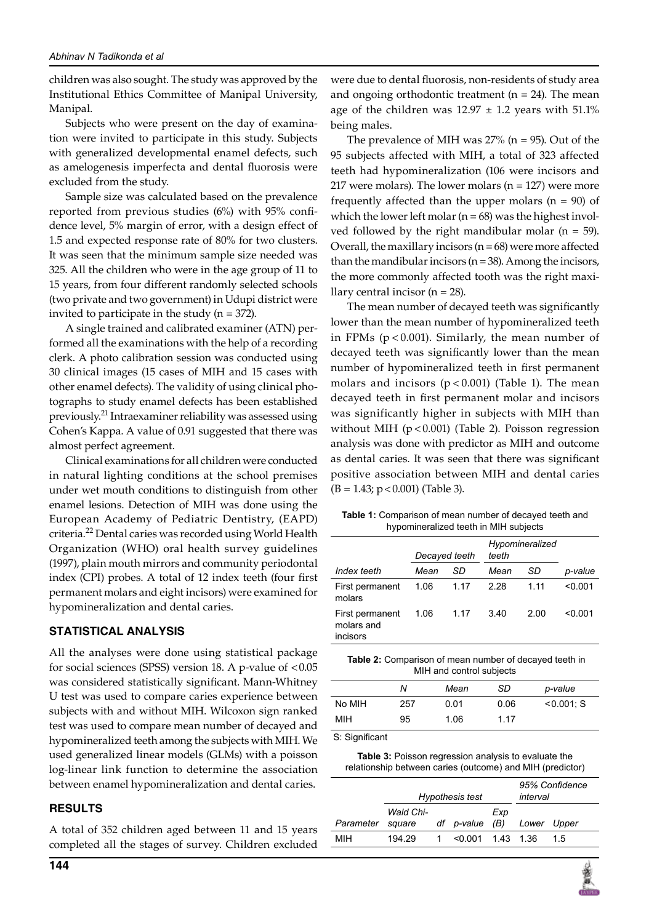children was also sought. The study was approved by the Institutional Ethics Committee of Manipal University, Manipal.

Subjects who were present on the day of examination were invited to participate in this study. Subjects with generalized developmental enamel defects, such as amelogenesis imperfecta and dental fluorosis were excluded from the study.

Sample size was calculated based on the prevalence reported from previous studies (6%) with 95% confidence level, 5% margin of error, with a design effect of 1.5 and expected response rate of 80% for two clusters. It was seen that the minimum sample size needed was 325. All the children who were in the age group of 11 to 15 years, from four different randomly selected schools (two private and two government) in Udupi district were invited to participate in the study  $(n = 372)$ .

A single trained and calibrated examiner (ATN) performed all the examinations with the help of a recording clerk. A photo calibration session was conducted using 30 clinical images (15 cases of MIH and 15 cases with other enamel defects). The validity of using clinical photographs to study enamel defects has been established previously.21 Intraexaminer reliability was assessed using Cohen's Kappa. A value of 0.91 suggested that there was almost perfect agreement.

Clinical examinations for all children were conducted in natural lighting conditions at the school premises under wet mouth conditions to distinguish from other enamel lesions. Detection of MIH was done using the European Academy of Pediatric Dentistry, (EAPD) criteria.22 Dental caries was recorded using World Health Organization (WHO) oral health survey guidelines (1997), plain mouth mirrors and community periodontal index (CPI) probes. A total of 12 index teeth (four first permanent molars and eight incisors) were examined for hypomineralization and dental caries.

#### **Statistical analysis**

All the analyses were done using statistical package for social sciences (SPSS) version 18. A p-value of <0.05 was considered statistically significant. Mann-Whitney U test was used to compare caries experience between subjects with and without MIH. Wilcoxon sign ranked test was used to compare mean number of decayed and hypomineralized teeth among the subjects with MIH. We used generalized linear models (GLMs) with a poisson log-linear link function to determine the association between enamel hypomineralization and dental caries.

## **Results**

A total of 352 children aged between 11 and 15 years completed all the stages of survey. Children excluded

were due to dental fluorosis, non-residents of study area and ongoing orthodontic treatment ( $n = 24$ ). The mean age of the children was  $12.97 \pm 1.2$  years with  $51.1\%$ being males.

The prevalence of MIH was  $27\%$  (n = 95). Out of the 95 subjects affected with MIH, a total of 323 affected teeth had hypomineralization (106 were incisors and 217 were molars). The lower molars  $(n = 127)$  were more frequently affected than the upper molars  $(n = 90)$  of which the lower left molar  $(n = 68)$  was the highest involved followed by the right mandibular molar ( $n = 59$ ). Overall, the maxillary incisors  $(n = 68)$  were more affected than the mandibular incisors ( $n = 38$ ). Among the incisors, the more commonly affected tooth was the right maxillary central incisor ( $n = 28$ ).

The mean number of decayed teeth was significantly lower than the mean number of hypomineralized teeth in FPMs ( $p < 0.001$ ). Similarly, the mean number of decayed teeth was significantly lower than the mean number of hypomineralized teeth in first permanent molars and incisors  $(p < 0.001)$  (Table 1). The mean decayed teeth in first permanent molar and incisors was significantly higher in subjects with MIH than without MIH (p < 0.001) (Table 2). Poisson regression analysis was done with predictor as MIH and outcome as dental caries. It was seen that there was significant positive association between MIH and dental caries  $(B = 1.43; p < 0.001)$  (Table 3).

**Table 1:** Comparison of mean number of decayed teeth and hypomineralized teeth in MIH subjects

|                                           | Decayed teeth |      | Hypomineralized<br>teeth |      |         |
|-------------------------------------------|---------------|------|--------------------------|------|---------|
| Index teeth                               | Mean          | SD   | Mean                     | SD   | p-value |
| First permanent<br>molars                 | 1.06          | 1.17 | 2.28                     | 1.11 | < 0.001 |
| First permanent<br>molars and<br>incisors | 1.06          | 1.17 | 3.40                     | 2.00 | < 0.001 |

**Table 2:** Comparison of mean number of decayed teeth in MIH and control subjects

|        | Ν   | Mean | SD.  | p-value       |
|--------|-----|------|------|---------------|
| No MIH | 257 | 0.01 | 0.06 | $< 0.001$ ; S |
| MIH    | 95  | 1.06 | 1.17 |               |

S: Significant

| <b>Table 3:</b> Poisson regression analysis to evaluate the |
|-------------------------------------------------------------|
| relationship between caries (outcome) and MIH (predictor)   |

|           | Hypothesis test     |   |                     |     | 95% Confidence<br>interval |     |
|-----------|---------------------|---|---------------------|-----|----------------------------|-----|
| Parameter | Wald Chi-<br>square |   | df p-value $(B)$    | Exp | Lower Upper                |     |
| мін       | 194.29              | 1 | $< 0.001$ 1.43 1.36 |     |                            | 1.5 |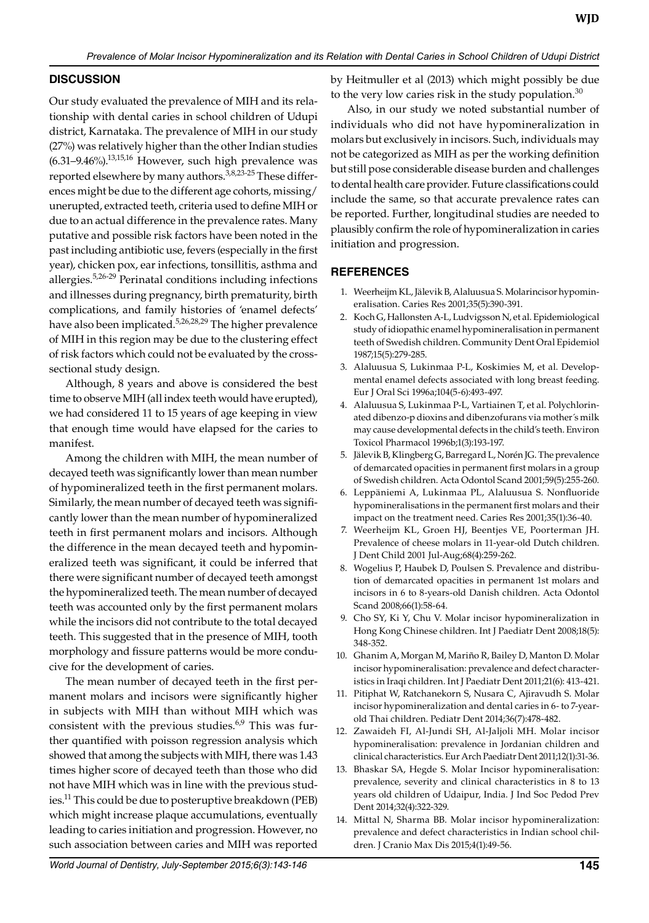# **Discussion**

Our study evaluated the prevalence of MIH and its relationship with dental caries in school children of Udupi district, Karnataka. The prevalence of MIH in our study (27%) was relatively higher than the other Indian studies  $(6.31-9.46\%)$ .<sup>13,15,16</sup> However, such high prevalence was reported elsewhere by many authors.<sup>3,8,23-25</sup> These differences might be due to the different age cohorts, missing/ unerupted, extracted teeth, criteria used to define MIH or due to an actual difference in the prevalence rates. Many putative and possible risk factors have been noted in the past including antibiotic use, fevers (especially in the first year), chicken pox, ear infections, tonsillitis, asthma and allergies.5,26-29 Perinatal conditions including infections and illnesses during pregnancy, birth prematurity, birth complications, and family histories of 'enamel defects' have also been implicated.<sup>5,26,28,29</sup> The higher prevalence of MIH in this region may be due to the clustering effect of risk factors which could not be evaluated by the crosssectional study design.

Although, 8 years and above is considered the best time to observe MIH (all index teeth would have erupted), we had considered 11 to 15 years of age keeping in view that enough time would have elapsed for the caries to manifest.

Among the children with MIH, the mean number of decayed teeth was significantly lower than mean number of hypomineralized teeth in the first permanent molars. Similarly, the mean number of decayed teeth was significantly lower than the mean number of hypomineralized teeth in first permanent molars and incisors. Although the difference in the mean decayed teeth and hypomineralized teeth was significant, it could be inferred that there were significant number of decayed teeth amongst the hypomineralized teeth. The mean number of decayed teeth was accounted only by the first permanent molars while the incisors did not contribute to the total decayed teeth. This suggested that in the presence of MIH, tooth morphology and fissure patterns would be more conducive for the development of caries.

The mean number of decayed teeth in the first permanent molars and incisors were significantly higher in subjects with MIH than without MIH which was consistent with the previous studies. $6.9$  This was further quantified with poisson regression analysis which showed that among the subjects with MIH, there was 1.43 times higher score of decayed teeth than those who did not have MIH which was in line with the previous studies.11 This could be due to posteruptive breakdown (PEB) which might increase plaque accumulations, eventually leading to caries initiation and progression. However, no such association between caries and MIH was reported

*World Journal of Dentistry, July-September 2015;6(3):143-146* **145**

by Heitmuller et al (2013) which might possibly be due to the very low caries risk in the study population. $30$ 

Also, in our study we noted substantial number of individuals who did not have hypomineralization in molars but exclusively in incisors. Such, individuals may not be categorized as MIH as per the working definition but still pose considerable disease burden and challenges to dental health care provider. Future classifications could include the same, so that accurate prevalence rates can be reported. Further, longitudinal studies are needed to plausibly confirm the role of hypomineralization in caries initiation and progression.

### **References**

- 1. Weerheijm KL, Jälevik B, Alaluusua S. Molarincisor hypomineralisation. Caries Res 2001;35(5):390-391.
- 2. Koch G, Hallonsten A-L, Ludvigsson N, et al. Epidemiological study of idiopathic enamel hypomineralisation in permanent teeth of Swedish children. Community Dent Oral Epidemiol 1987;15(5):279-285.
- 3. Alaluusua S, Lukinmaa P-L, Koskimies M, et al. Developmental enamel defects associated with long breast feeding. Eur J Oral Sci 1996a;104(5-6):493-497.
- 4. Alaluusua S, Lukinmaa P-L, Vartiainen T, et al. Polychlorinated dibenzo-p dioxins and dibenzofurans via mother´s milk may cause developmental defects in the child's teeth. Environ Toxicol Pharmacol 1996b;1(3):193-197.
- 5. Jälevik B, Klingberg G, Barregard L, Norén JG. The prevalence of demarcated opacities in permanent first molars in a group of Swedish children. Acta Odontol Scand 2001;59(5):255-260.
- 6. Leppäniemi A, Lukinmaa PL, Alaluusua S. Nonfluoride hypomineralisations in the permanent first molars and their impact on the treatment need. Caries Res 2001;35(1):36-40.
- 7. Weerheijm KL, Groen HJ, Beentjes VE, Poorterman JH. Prevalence of cheese molars in 11-year-old Dutch children. J Dent Child 2001 Jul-Aug;68(4):259-262.
- 8. Wogelius P, Haubek D, Poulsen S. Prevalence and distribution of demarcated opacities in permanent 1st molars and incisors in 6 to 8-years-old Danish children. Acta Odontol Scand 2008;66(1):58-64.
- 9. Cho SY, Ki Y, Chu V. Molar incisor hypomineralization in Hong Kong Chinese children. Int J Paediatr Dent 2008;18(5): 348-352.
- 10. Ghanim A, Morgan M, Mariño R, Bailey D, Manton D. Molar incisor hypomineralisation: prevalence and defect characteristics in Iraqi children. Int J Paediatr Dent 2011;21(6): 413-421.
- 11. Pitiphat W, Ratchanekorn S, Nusara C, Ajiravudh S. Molar incisor hypomineralization and dental caries in 6- to 7-yearold Thai children. Pediatr Dent 2014;36(7):478-482.
- 12. Zawaideh FI, Al-Jundi SH, Al-Jaljoli MH. Molar incisor hypomineralisation: prevalence in Jordanian children and clinical characteristics. Eur Arch Paediatr Dent 2011;12(1):31-36.
- 13. Bhaskar SA, Hegde S. Molar Incisor hypomineralisation: prevalence, severity and clinical characteristics in 8 to 13 years old children of Udaipur, India. J Ind Soc Pedod Prev Dent 2014;32(4):322-329.
- 14. Mittal N, Sharma BB. Molar incisor hypomineralization: prevalence and defect characteristics in Indian school children. J Cranio Max Dis 2015;4(1):49-56.